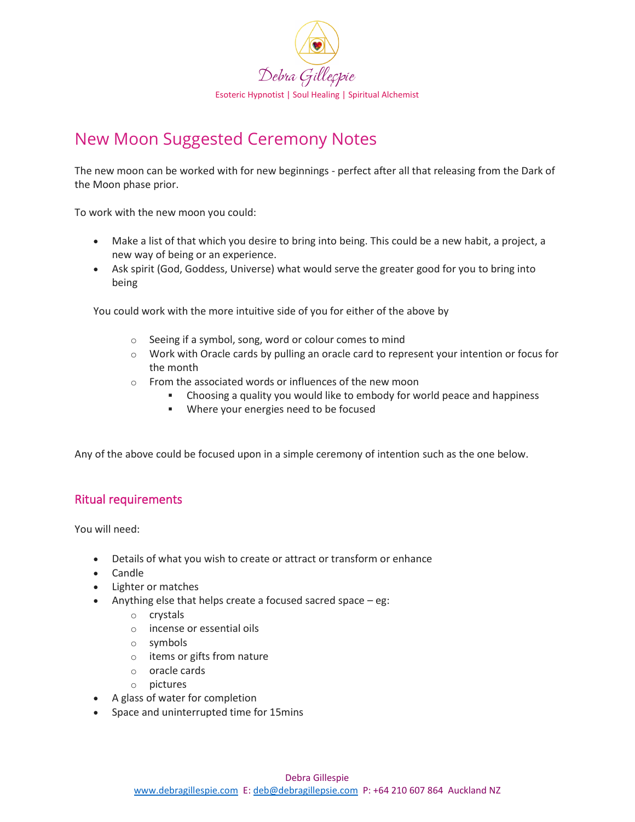

## New Moon Suggested Ceremony Notes

The new moon can be worked with for new beginnings - perfect after all that releasing from the Dark of the Moon phase prior.

To work with the new moon you could:

- Make a list of that which you desire to bring into being. This could be a new habit, a project, a new way of being or an experience.
- Ask spirit (God, Goddess, Universe) what would serve the greater good for you to bring into being

You could work with the more intuitive side of you for either of the above by

- o Seeing if a symbol, song, word or colour comes to mind
- o Work with Oracle cards by pulling an oracle card to represent your intention or focus for the month
- o From the associated words or influences of the new moon
	- Choosing a quality you would like to embody for world peace and happiness
	- Where your energies need to be focused

Any of the above could be focused upon in a simple ceremony of intention such as the one below.

## Ritual requirements

You will need:

- Details of what you wish to create or attract or transform or enhance
- Candle
- Lighter or matches
- Anything else that helps create a focused sacred space eg:
	- o crystals
	- o incense or essential oils
	- o symbols
	- o items or gifts from nature
	- o oracle cards
	- o pictures
- A glass of water for completion
- Space and uninterrupted time for 15mins